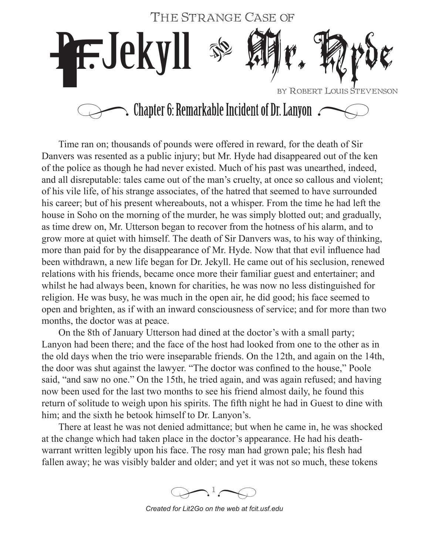

Time ran on; thousands of pounds were offered in reward, for the death of Sir Danvers was resented as a public injury; but Mr. Hyde had disappeared out of the ken of the police as though he had never existed. Much of his past was unearthed, indeed, and all disreputable: tales came out of the man's cruelty, at once so callous and violent; of his vile life, of his strange associates, of the hatred that seemed to have surrounded his career; but of his present whereabouts, not a whisper. From the time he had left the house in Soho on the morning of the murder, he was simply blotted out; and gradually, as time drew on, Mr. Utterson began to recover from the hotness of his alarm, and to grow more at quiet with himself. The death of Sir Danvers was, to his way of thinking, more than paid for by the disappearance of Mr. Hyde. Now that that evil influence had been withdrawn, a new life began for Dr. Jekyll. He came out of his seclusion, renewed relations with his friends, became once more their familiar guest and entertainer; and whilst he had always been, known for charities, he was now no less distinguished for religion. He was busy, he was much in the open air, he did good; his face seemed to open and brighten, as if with an inward consciousness of service; and for more than two months, the doctor was at peace.

On the 8th of January Utterson had dined at the doctor's with a small party; Lanyon had been there; and the face of the host had looked from one to the other as in the old days when the trio were inseparable friends. On the 12th, and again on the 14th, the door was shut against the lawyer. "The doctor was confined to the house," Poole said, "and saw no one." On the 15th, he tried again, and was again refused; and having now been used for the last two months to see his friend almost daily, he found this return of solitude to weigh upon his spirits. The fifth night he had in Guest to dine with him; and the sixth he betook himself to Dr. Lanyon's.

There at least he was not denied admittance; but when he came in, he was shocked at the change which had taken place in the doctor's appearance. He had his deathwarrant written legibly upon his face. The rosy man had grown pale; his flesh had fallen away; he was visibly balder and older; and yet it was not so much, these tokens

 $\bigotimes$ <sup>1</sup> $\bigotimes$ 

*Created for Lit2Go on the web at fcit.usf.edu*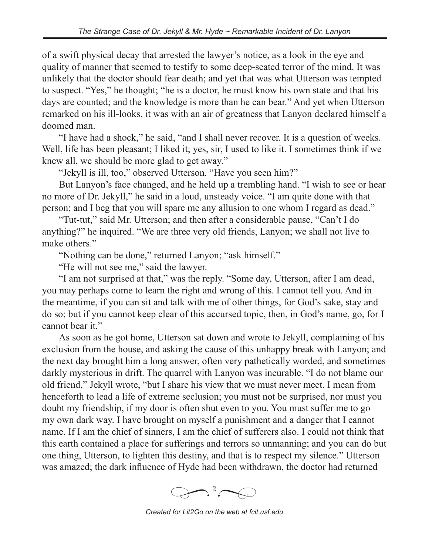of a swift physical decay that arrested the lawyer's notice, as a look in the eye and quality of manner that seemed to testify to some deep-seated terror of the mind. It was unlikely that the doctor should fear death; and yet that was what Utterson was tempted to suspect. "Yes," he thought; "he is a doctor, he must know his own state and that his days are counted; and the knowledge is more than he can bear." And yet when Utterson remarked on his ill-looks, it was with an air of greatness that Lanyon declared himself a doomed man.

"I have had a shock," he said, "and I shall never recover. It is a question of weeks. Well, life has been pleasant; I liked it; yes, sir, I used to like it. I sometimes think if we knew all, we should be more glad to get away."

"Jekyll is ill, too," observed Utterson. "Have you seen him?"

But Lanyon's face changed, and he held up a trembling hand. "I wish to see or hear no more of Dr. Jekyll," he said in a loud, unsteady voice. "I am quite done with that person; and I beg that you will spare me any allusion to one whom I regard as dead."

"Tut-tut," said Mr. Utterson; and then after a considerable pause, "Can't I do anything?" he inquired. "We are three very old friends, Lanyon; we shall not live to make others."

"Nothing can be done," returned Lanyon; "ask himself."

"He will not see me," said the lawyer.

"I am not surprised at that," was the reply. "Some day, Utterson, after I am dead, you may perhaps come to learn the right and wrong of this. I cannot tell you. And in the meantime, if you can sit and talk with me of other things, for God's sake, stay and do so; but if you cannot keep clear of this accursed topic, then, in God's name, go, for I cannot bear it."

As soon as he got home, Utterson sat down and wrote to Jekyll, complaining of his exclusion from the house, and asking the cause of this unhappy break with Lanyon; and the next day brought him a long answer, often very pathetically worded, and sometimes darkly mysterious in drift. The quarrel with Lanyon was incurable. "I do not blame our old friend," Jekyll wrote, "but I share his view that we must never meet. I mean from henceforth to lead a life of extreme seclusion; you must not be surprised, nor must you doubt my friendship, if my door is often shut even to you. You must suffer me to go my own dark way. I have brought on myself a punishment and a danger that I cannot name. If I am the chief of sinners, I am the chief of sufferers also. I could not think that this earth contained a place for sufferings and terrors so unmanning; and you can do but one thing, Utterson, to lighten this destiny, and that is to respect my silence." Utterson was amazed; the dark influence of Hyde had been withdrawn, the doctor had returned



*Created for Lit2Go on the web at fcit.usf.edu*